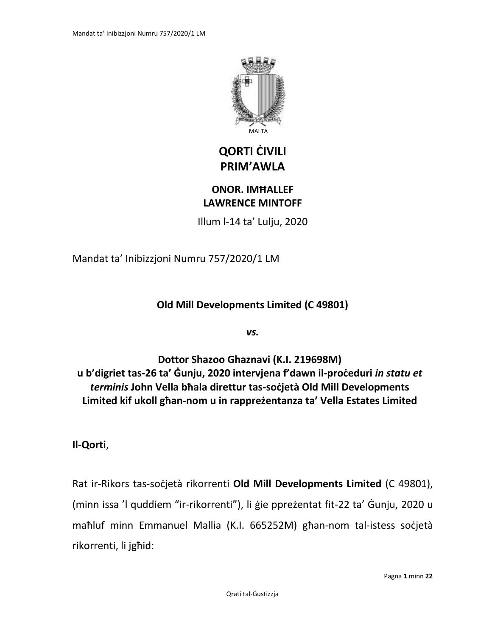

# **QORTI ĊIVILI PRIM'AWLA**

## **ONOR. IMĦALLEF LAWRENCE MINTOFF**

Illum l-14 ta' Lulju, 2020

Mandat ta' Inibizzjoni Numru 757/2020/1 LM

**Old Mill Developments Limited (C 49801)**

*vs.*

**Dottor Shazoo Ghaznavi (K.I. 219698M) u b'digriet tas-26 ta' Ġunju, 2020 intervjena f'dawn il-proċeduri** *in statu et terminis* **John Vella bħala direttur tas-soċjetà Old Mill Developments Limited kif ukoll għan-nom u in rappreżentanza ta' Vella Estates Limited**

**Il-Qorti**,

Rat ir-Rikors tas-soċjetà rikorrenti **Old Mill Developments Limited** (C 49801), (minn issa 'l quddiem "ir-rikorrenti"), li ġie ppreżentat fit-22 ta' Ġunju, 2020 u maħluf minn Emmanuel Mallia (K.I. 665252M) għan-nom tal-istess soċjetà rikorrenti, li jgħid: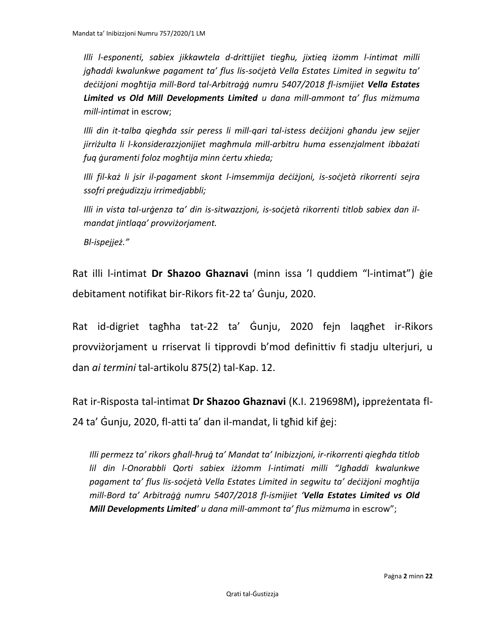*Illi l-esponenti, sabiex jikkawtela d-drittijiet tiegħu, jixtieq iżomm l-intimat milli jgħaddi kwalunkwe pagament ta' flus lis-soċjetà Vella Estates Limited in segwitu ta' deċiżjoni mogħtija mill-Bord tal-Arbitraġġ numru 5407/2018 fl-ismijiet Vella Estates Limited vs Old Mill Developments Limited u dana mill-ammont ta' flus miżmuma mill-intimat* in escrow;

*Illi din it-talba qiegħda ssir peress li mill-qari tal-istess deċiżjoni għandu jew sejjer jirriżulta li l-konsiderazzjonijiet magħmula mill-arbitru huma essenzjalment ibbażati fuq ġuramenti foloz mogħtija minn ċertu xhieda;*

*Illi fil-każ li jsir il-pagament skont l-imsemmija deċiżjoni, is-soċjetà rikorrenti sejra ssofri preġudizzju irrimedjabbli;*

*Illi in vista tal-urġenza ta' din is-sitwazzjoni, is-soċjetà rikorrenti titlob sabiex dan ilmandat jintlaqa' provviżorjament.*

*Bl-ispejjeż."*

Rat illi l-intimat **Dr Shazoo Ghaznavi** (minn issa 'l quddiem "l-intimat") ġie debitament notifikat bir-Rikors fit-22 ta' Ġunju, 2020.

Rat id-digriet tagħha tat-22 ta' Ġunju, 2020 fejn laqgħet ir-Rikors provviżorjament u rriservat li tipprovdi b'mod definittiv fi stadju ulterjuri, u dan *ai termini* tal-artikolu 875(2) tal-Kap. 12.

Rat ir-Risposta tal-intimat **Dr Shazoo Ghaznavi** (K.I. 219698M)**,** ippreżentata fl-24 ta' Ġunju, 2020, fl-atti ta' dan il-mandat, li tgħid kif ġej:

*Illi permezz ta' rikors għall-ħruġ ta' Mandat ta' Inibizzjoni, ir-rikorrenti qiegħda titlob lil din l-Onorabbli Qorti sabiex iżżomm l-intimati milli "Jgħaddi kwalunkwe pagament ta' flus lis-soċjetà Vella Estates Limited in segwitu ta' deċiżjoni mogħtija mill-Bord ta' Arbitraġġ numru 5407/2018 fl-ismijiet 'Vella Estates Limited vs Old Mill Developments Limited' u dana mill-ammont ta' flus miżmuma* in escrow";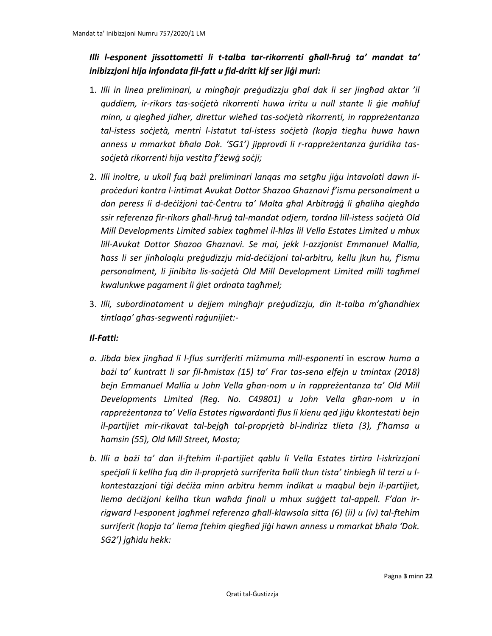## *Illi l-esponent jissottometti li t-talba tar-rikorrenti għall-ħruġ ta' mandat ta' inibizzjoni hija infondata fil-fatt u fid-dritt kif ser jiġi muri:*

- 1. *Illi in linea preliminari, u mingħajr preġudizzju għal dak li ser jingħad aktar 'il quddiem, ir-rikors tas-soċjetà rikorrenti huwa irritu u null stante li ġie maħluf minn, u qiegħed jidher, direttur wieħed tas-soċjetà rikorrenti, in rappreżentanza tal-istess soċjetà, mentri l-istatut tal-istess soċjetà (kopja tiegħu huwa hawn anness u mmarkat bħala Dok. 'SG1') jipprovdi li r-rappreżentanza ġuridika tassoċjetà rikorrenti hija vestita f'żewġ soċji;*
- 2. *Illi inoltre, u ukoll fuq bażi preliminari lanqas ma setgħu jiġu intavolati dawn ilproċeduri kontra l-intimat Avukat Dottor Shazoo Ghaznavi f'ismu personalment u dan peress li d-deċiżjoni taċ-Ċentru ta' Malta għal Arbitraġġ li għaliha qiegħda ssir referenza fir-rikors għall-ħruġ tal-mandat odjern, tordna lill-istess soċjetà Old Mill Developments Limited sabiex tagħmel il-ħlas lil Vella Estates Limited u mhux lill-Avukat Dottor Shazoo Ghaznavi. Se mai, jekk l-azzjonist Emmanuel Mallia, ħass li ser jinħoloqlu preġudizzju mid-deċiżjoni tal-arbitru, kellu jkun hu, f'ismu personalment, li jinibita lis-soċjetà Old Mill Development Limited milli tagħmel kwalunkwe pagament li ġiet ordnata tagħmel;*
- 3. *Illi, subordinatament u dejjem mingħajr preġudizzju, din it-talba m'għandhiex tintlaqa' għas-segwenti raġunijiet:-*

#### *Il-Fatti:*

- *a. Jibda biex jingħad li l-flus surriferiti miżmuma mill-esponenti* in escrow *huma a bażi ta' kuntratt li sar fil-ħmistax (15) ta' Frar tas-sena elfejn u tmintax (2018) bejn Emmanuel Mallia u John Vella għan-nom u in rappreżentanza ta' Old Mill Developments Limited (Reg. No. C49801) u John Vella għan-nom u in rappreżentanza ta' Vella Estates rigwardanti flus li kienu qed jiġu kkontestati bejn il-partijiet mir-rikavat tal-bejgħ tal-proprjetà bl-indirizz tlieta (3), f'ħamsa u ħamsin (55), Old Mill Street, Mosta;*
- *b. Illi a bażi ta' dan il-ftehim il-partijiet qablu li Vella Estates tirtira l-iskrizzjoni speċjali li kellha fuq din il-proprjetà surriferita ħalli tkun tista' tinbiegħ lil terzi u lkontestazzjoni tiġi deċiża minn arbitru hemm indikat u maqbul bejn il-partijiet, liema deċiżjoni kellha tkun waħda finali u mhux suġġett tal-appell. F'dan irrigward l-esponent jagħmel referenza għall-klawsola sitta (6) (ii) u (iv) tal-ftehim surriferit (kopja ta' liema ftehim qiegħed jiġi hawn anness u mmarkat bħala 'Dok. SG2') jgħidu hekk:*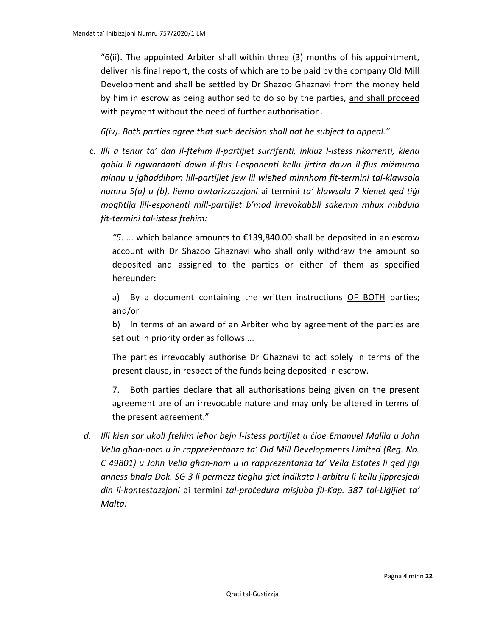"6(ii). The appointed Arbiter shall within three (3) months of his appointment, deliver his final report, the costs of which are to be paid by the company Old Mill Development and shall be settled by Dr Shazoo Ghaznavi from the money held by him in escrow as being authorised to do so by the parties, and shall proceed with payment without the need of further authorisation.

*6(iv). Both parties agree that such decision shall not be subject to appeal."*

ċ*. Illi a tenur ta' dan il-ftehim il-partijiet surriferiti, inkluż l-istess rikorrenti, kienu qablu li rigwardanti dawn il-flus l-esponenti kellu jirtira dawn il-flus miżmuma minnu u jgħaddihom lill-partijiet jew lil wieħed minnhom fit-termini tal-klawsola numru 5(a) u (b), liema awtorizzazzjoni* ai termini *ta' klawsola 7 kienet qed tiġi mogħtija lill-esponenti mill-partijiet b'mod irrevokabbli sakemm mhux mibdula fit-termini tal-istess ftehim:*

*"5*. ... which balance amounts to €139,840.00 shall be deposited in an escrow account with Dr Shazoo Ghaznavi who shall only withdraw the amount so deposited and assigned to the parties or either of them as specified hereunder:

a) By a document containing the written instructions OF BOTH parties; and/or

b) In terms of an award of an Arbiter who by agreement of the parties are set out in priority order as follows ...

The parties irrevocably authorise Dr Ghaznavi to act solely in terms of the present clause, in respect of the funds being deposited in escrow.

7. Both parties declare that all authorisations being given on the present agreement are of an irrevocable nature and may only be altered in terms of the present agreement."

*d. Illi kien sar ukoll ftehim ieħor bejn l-istess partijiet u ċioe Emanuel Mallia u John Vella għan-nom u in rappreżentanza ta' Old Mill Developments Limited (Reg. No. C 49801) u John Vella għan-nom u in rappreżentanza ta' Vella Estates li qed jiġi anness bħala Dok. SG 3 li permezz tiegħu ġiet indikata l-arbitru li kellu jippresjedi din il-kontestazzjoni* ai termini *tal-proċedura misjuba fil-Kap. 387 tal-Liġijiet ta' Malta:*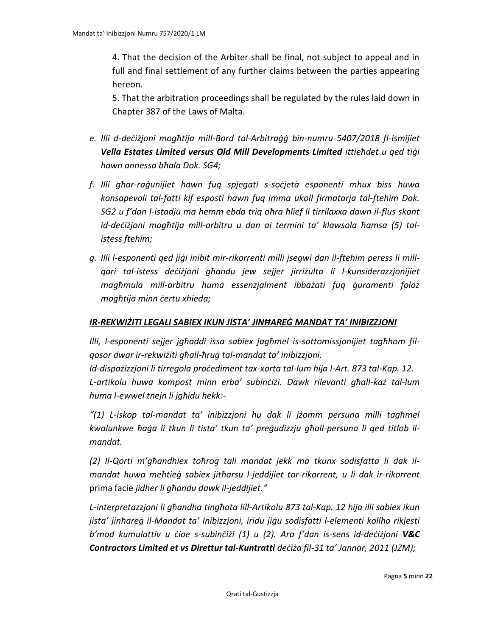4. That the decision of the Arbiter shall be final, not subject to appeal and in full and final settlement of any further claims between the parties appearing hereon.

5. That the arbitration proceedings shall be regulated by the rules laid down in Chapter 387 of the Laws of Malta.

- *e. Illi d-deċiżjoni mogħtija mill-Bord tal-Arbitraġġ bin-numru 5407/2018 fl-ismijiet Vella Estates Limited versus Old Mill Developments Limited ittieħdet u qed tiġi hawn annessa bħala Dok. SG4;*
- *f. Illi għar-raġunijiet hawn fuq spjegati s-soċjetà esponenti mhux biss huwa konsapevoli tal-fatti kif esposti hawn fuq imma ukoll firmatarja tal-ftehim Dok. SG2 u f'dan l-istadju ma hemm ebda triq oħra ħlief li tirrilaxxa dawn il-flus skont id-deċiżjoni mogħtija mill-arbitru u dan ai termini ta' klawsola ħamsa (5) talistess ftehim;*
- *g. Illi l-esponenti qed jiġi inibit mir-rikorrenti milli jsegwi dan il-ftehim peress li millqari tal-istess deċiżjoni għandu jew sejjer jirriżulta li l-kunsiderazzjonijiet magħmula mill-arbitru huma essenzjalment ibbażati fuq ġuramenti foloz mogħtija minn ċertu xhieda;*

#### *IR-REKWIŻITI LEGALI SABIEX IKUN JISTA' JINĦAREĠ MANDAT TA' INIBIZZJONI*

*Illi, l-esponenti sejjer jgħaddi issa sabiex jagħmel is-sottomissjonijiet tagħhom filqosor dwar ir-rekwiżiti għall-ħruġ tal-mandat ta' inibizzjoni.*

*Id-dispożizzjoni li tirregola proċediment tax-xorta tal-lum hija l-Art. 873 tal-Kap. 12. L-artikolu huwa kompost minn erba' subinċiżi. Dawk rilevanti għall-każ tal-lum huma l-ewwel tnejn li jgħidu hekk:-*

*"(1) L-iskop tal-mandat ta' inibizzjoni hu dak li jżomm persuna milli tagħmel kwalunkwe ħaġa li tkun li tista' tkun ta' preġudizzju għall-persuna li qed titlob ilmandat.*

*(2) Il-Qorti m'għandhiex toħroġ tali mandat jekk ma tkunx sodisfatta li dak ilmandat huwa meħtieġ sabiex jitħarsu l-jeddijiet tar-rikorrent, u li dak ir-rikorrent*  prima facie *jidher li għandu dawk il-jeddijiet."*

*L-interpretazzjoni li għandha tingħata lill-Artikolu 873 tal-Kap. 12 hija illi sabiex ikun jista' jinħareġ il-Mandat ta' Inibizzjoni, iridu jiġu sodisfatti l-elementi kollha rikjesti b'mod kumulattiv u ċioe s-subinċiżi (1) u (2). Ara f'dan is-sens id-deċiżjoni V&C Contractors Limited et vs Direttur tal-Kuntratti deċiża fil-31 ta' Jannar, 2011 (JZM);*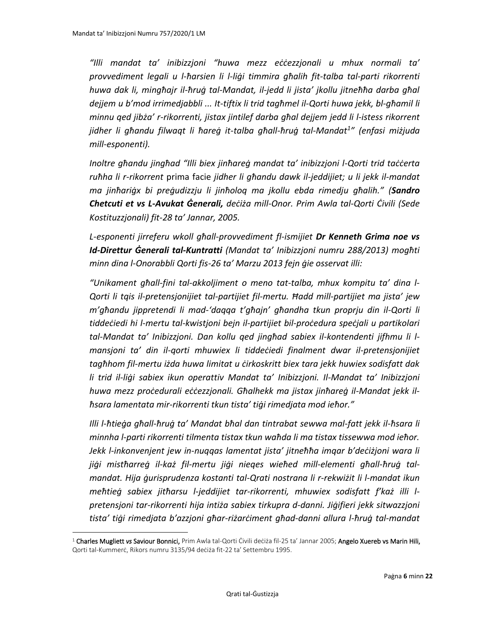*"Illi mandat ta' inibizzjoni "huwa mezz eċċezzjonali u mhux normali ta' provvediment legali u l-ħarsien li l-liġi timmira għalih fit-talba tal-parti rikorrenti huwa dak li, mingħajr il-ħruġ tal-Mandat, il-jedd li jista' jkollu jitneħħa darba għal dejjem u b'mod irrimedjabbli ... It-tiftix li trid tagħmel il-Qorti huwa jekk, bl-għamil li minnu qed jibża' r-rikorrenti, jistax jintilef darba għal dejjem jedd li l-istess rikorrent jidher li għandu filwaqt li ħareġ it-talba għall-ħruġ tal-Mandat<sup>1</sup> " (enfasi miżjuda mill-esponenti).*

*Inoltre għandu jingħad "Illi biex jinħareġ mandat ta' inibizzjoni l-Qorti trid taċċerta ruħha li r-rikorrent* prima facie *jidher li għandu dawk il-jeddijiet; u li jekk il-mandat ma jinħariġx bi preġudizzju li jinħoloq ma jkollu ebda rimedju għalih." (Sandro Chetcuti et vs L-Avukat Ġenerali, deċiża mill-Onor. Prim Awla tal-Qorti Ċivili (Sede Kostituzzjonali) fit-28 ta' Jannar, 2005.*

*L-esponenti jirreferu wkoll għall-provvediment fl-ismijiet Dr Kenneth Grima noe vs Id-Direttur Ġenerali tal-Kuntratti (Mandat ta' Inibizzjoni numru 288/2013) mogħti minn dina l-Onorabbli Qorti fis-26 ta' Marzu 2013 fejn ġie osservat illi:*

*"Unikament għall-fini tal-akkoljiment o meno tat-talba, mhux kompitu ta' dina l-Qorti li tqis il-pretensjonijiet tal-partijiet fil-mertu. Ħadd mill-partijiet ma jista' jew m'għandu jippretendi li mad-'daqqa t'għajn' għandha tkun proprju din il-Qorti li tiddeċiedi hi l-mertu tal-kwistjoni bejn il-partijiet bil-proċedura speċjali u partikolari tal-Mandat ta' Inibizzjoni. Dan kollu qed jingħad sabiex il-kontendenti jifhmu li lmansjoni ta' din il-qorti mhuwiex li tiddeċiedi finalment dwar il-pretensjonijiet tagħhom fil-mertu iżda huwa limitat u ċirkoskritt biex tara jekk huwiex sodisfatt dak li trid il-liġi sabiex ikun operattiv Mandat ta' Inibizzjoni. Il-Mandat ta' Inibizzjoni huwa mezz proċedurali eċċezzjonali. Għalhekk ma jistax jinħareġ il-Mandat jekk ilħsara lamentata mir-rikorrenti tkun tista' tiġi rimedjata mod ieħor."*

*Illi l-ħtieġa għall-ħruġ ta' Mandat bħal dan tintrabat sewwa mal-fatt jekk il-ħsara li minnha l-parti rikorrenti tilmenta tistax tkun waħda li ma tistax tissewwa mod ieħor. Jekk l-inkonvenjent jew in-nuqqas lamentat jista' jitneħħa imqar b'deċiżjoni wara li jiġi mistħarreġ il-każ fil-mertu jiġi nieqes wieħed mill-elementi għall-ħruġ talmandat. Hija ġurisprudenza kostanti tal-Qrati nostrana li r-rekwiżit li l-mandat ikun meħtieġ sabiex jitħarsu l-jeddijiet tar-rikorrenti, mhuwiex sodisfatt f'każ illi lpretensjoni tar-rikorrenti hija intiża sabiex tirkupra d-danni. Jiġifieri jekk sitwazzjoni tista' tiġi rimedjata b'azzjoni għar-riżarċiment għad-danni allura l-ħruġ tal-mandat* 

<sup>1</sup> Charles Mugliett *vs* Saviour Bonnici, Prim Awla tal-Qorti Ċivili deċiża fil-25 ta' Jannar 2005; Angelo Xuereb vs Marin Hili, Qorti tal-Kummerċ, Rikors numru 3135/94 deċiża fit-22 ta' Settembru 1995.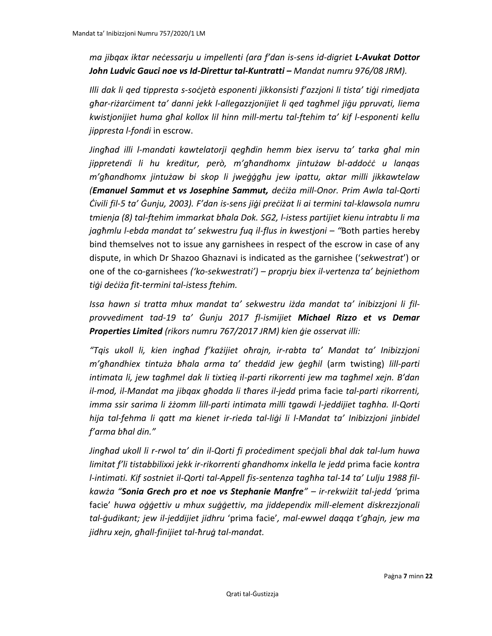*ma jibqax iktar neċessarju u impellenti (ara f'dan is-sens id-digriet L-Avukat Dottor John Ludvic Gauci noe vs Id-Direttur tal-Kuntratti – Mandat numru 976/08 JRM).*

*Illi dak li qed tippresta s-soċjetà esponenti jikkonsisti f'azzjoni li tista' tiġi rimedjata għar-riżarċiment ta' danni jekk l-allegazzjonijiet li qed tagħmel jiġu ppruvati, liema kwistjonijiet huma għal kollox lil hinn mill-mertu tal-ftehim ta' kif l-esponenti kellu jippresta l-fondi* in escrow.

*Jingħad illi l-mandati kawtelatorji qegħdin hemm biex iservu ta' tarka għal min jippretendi li hu kreditur, però, m'għandhomx jintużaw bl-addoċċ u lanqas m'għandhomx jintużaw bi skop li jweġġgħu jew ipattu, aktar milli jikkawtelaw (Emanuel Sammut et vs Josephine Sammut, deċiża mill-Onor. Prim Awla tal-Qorti Ċivili fil-5 ta' Ġunju, 2003). F'dan is-sens jiġi preċiżat li ai termini tal-klawsola numru tmienja (8) tal-ftehim immarkat bħala Dok. SG2, l-istess partijiet kienu intrabtu li ma jagħmlu l-ebda mandat ta' sekwestru fuq il-flus in kwestjoni – "Both parties hereby* bind themselves not to issue any garnishees in respect of the escrow in case of any dispute, in which Dr Shazoo Ghaznavi is indicated as the garnishee ('*sekwestrat*') or one of the co-garnishees *('ko-sekwestrati') – proprju biex il-vertenza ta' bejniethom tiġi deċiża fit-termini tal-istess ftehim.*

*Issa hawn si tratta mhux mandat ta' sekwestru iżda mandat ta' inibizzjoni li filprovvediment tad-19 ta' Ġunju 2017 fl-ismijiet Michael Rizzo et vs Demar Properties Limited (rikors numru 767/2017 JRM) kien ġie osservat illi:*

*"Tqis ukoll li, kien ingħad f'każijiet oħrajn, ir-rabta ta' Mandat ta' Inibizzjoni m'għandhiex tintuża bħala arma ta' theddid jew ġegħil* (arm twisting) *lill-parti intimata li, jew tagħmel dak li tixtieq il-parti rikorrenti jew ma tagħmel xejn. B'dan il-mod, il-Mandat ma jibqax għodda li tħares il-jedd* prima facie *tal-parti rikorrenti, imma ssir sarima li żżomm lill-parti intimata milli tgawdi l-jeddijiet tagħha. Il-Qorti hija tal-fehma li qatt ma kienet ir-rieda tal-liġi li l-Mandat ta' Inibizzjoni jinbidel f'arma bħal din."*

*Jingħad ukoll li r-rwol ta' din il-Qorti fi proċediment speċjali bħal dak tal-lum huwa limitat f'li tistabbilixxi jekk ir-rikorrenti għandhomx inkella le jedd* prima facie *kontra l-intimati. Kif sostniet il-Qorti tal-Appell fis-sentenza tagħha tal-14 ta' Lulju 1988 filkawża "Sonia Grech pro et noe vs Stephanie Manfre" – ir-rekwiżit tal-jedd '*prima facie' *huwa oġġettiv u mhux suġġettiv, ma jiddependix mill-element diskrezzjonali tal-ġudikant; jew il-jeddijiet jidhru* 'prima facie'*, mal-ewwel daqqa t'għajn, jew ma jidhru xejn, għall-finijiet tal-ħruġ tal-mandat.*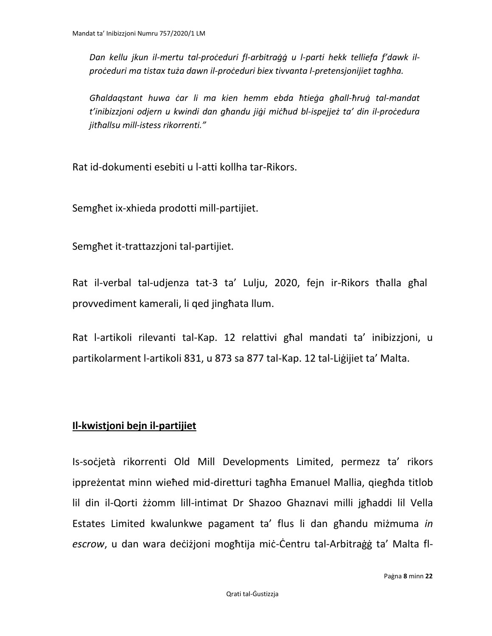*Dan kellu jkun il-mertu tal-proċeduri fl-arbitraġġ u l-parti hekk telliefa f'dawk ilproċeduri ma tistax tuża dawn il-proċeduri biex tivvanta l-pretensjonijiet tagħha.*

*Għaldaqstant huwa ċar li ma kien hemm ebda ħtieġa għall-ħruġ tal-mandat t'inibizzjoni odjern u kwindi dan għandu jiġi miċħud bl-ispejjeż ta' din il-proċedura jitħallsu mill-istess rikorrenti."*

Rat id-dokumenti esebiti u l-atti kollha tar-Rikors.

Semgħet ix-xhieda prodotti mill-partijiet.

Semgħet it-trattazzjoni tal-partijiet.

Rat il-verbal tal-udjenza tat-3 ta' Lulju, 2020, fejn ir-Rikors tħalla għal provvediment kamerali, li qed jingħata llum.

Rat l-artikoli rilevanti tal-Kap. 12 relattivi għal mandati ta' inibizzjoni, u partikolarment l-artikoli 831, u 873 sa 877 tal-Kap. 12 tal-Liġijiet ta' Malta.

## **Il-kwistjoni bejn il-partijiet**

Is-socjetà rikorrenti Old Mill Developments Limited, permezz ta' rikors ippreżentat minn wieħed mid-diretturi tagħha Emanuel Mallia, qiegħda titlob lil din il-Qorti żżomm lill-intimat Dr Shazoo Ghaznavi milli jgħaddi lil Vella Estates Limited kwalunkwe pagament ta' flus li dan għandu miżmuma *in escrow*, u dan wara deċiżjoni mogħtija miċ-Ċentru tal-Arbitraġġ ta' Malta fl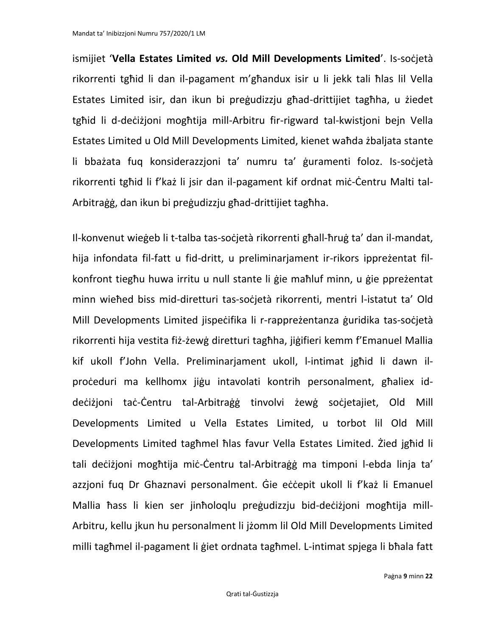Mandat ta' Inibizzjoni Numru 757/2020/1 LM

ismijiet '**Vella Estates Limited** *vs.* **Old Mill Developments Limited**'. Is-soċjetà rikorrenti tgħid li dan il-pagament m'għandux isir u li jekk tali ħlas lil Vella Estates Limited isir, dan ikun bi preġudizzju għad-drittijiet tagħha, u żiedet tgħid li d-deċiżjoni mogħtija mill-Arbitru fir-rigward tal-kwistjoni bejn Vella Estates Limited u Old Mill Developments Limited, kienet waħda żbaljata stante li bbażata fuq konsiderazzjoni ta' numru ta' ġuramenti foloz. Is-soċjetà rikorrenti tgħid li f'każ li jsir dan il-pagament kif ordnat miċ-Ċentru Malti tal-Arbitraġġ, dan ikun bi preġudizzju għad-drittijiet tagħha.

Il-konvenut wieġeb li t-talba tas-soċjetà rikorrenti għall-ħruġ ta' dan il-mandat, hija infondata fil-fatt u fid-dritt, u preliminarjament ir-rikors ippreżentat filkonfront tiegħu huwa irritu u null stante li ġie maħluf minn, u ġie ppreżentat minn wieħed biss mid-diretturi tas-soċjetà rikorrenti, mentri l-istatut ta' Old Mill Developments Limited jispeċifika li r-rappreżentanza ġuridika tas-soċjetà rikorrenti hija vestita fiż-żewġ diretturi tagħha, jiġifieri kemm f'Emanuel Mallia kif ukoll f'John Vella. Preliminarjament ukoll, l-intimat jgħid li dawn ilproċeduri ma kellhomx jiġu intavolati kontrih personalment, għaliex iddeċiżjoni taċ-Ċentru tal-Arbitraġġ tinvolvi żewġ soċjetajiet, Old Mill Developments Limited u Vella Estates Limited, u torbot lil Old Mill Developments Limited tagħmel ħlas favur Vella Estates Limited. Żied jgħid li tali deċiżjoni mogħtija miċ-Ċentru tal-Arbitraġġ ma timponi l-ebda linja ta' azzjoni fuq Dr Ghaznavi personalment. Ġie eċċepit ukoll li f'każ li Emanuel Mallia ħass li kien ser jinħoloqlu preġudizzju bid-deċiżjoni mogħtija mill-Arbitru, kellu jkun hu personalment li jżomm lil Old Mill Developments Limited milli tagħmel il-pagament li ġiet ordnata tagħmel. L-intimat spjega li bħala fatt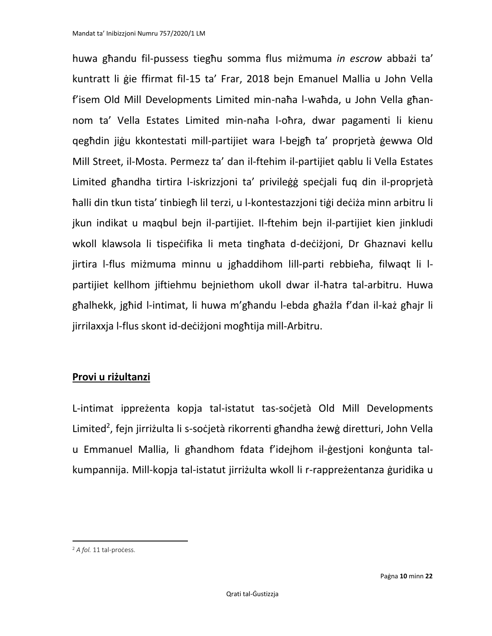huwa għandu fil-pussess tiegħu somma flus miżmuma *in escrow* abbażi ta' kuntratt li ġie ffirmat fil-15 ta' Frar, 2018 bejn Emanuel Mallia u John Vella f'isem Old Mill Developments Limited min-naħa l-waħda, u John Vella għannom ta' Vella Estates Limited min-naħa l-oħra, dwar pagamenti li kienu qegħdin jiġu kkontestati mill-partijiet wara l-bejgħ ta' proprjetà ġewwa Old Mill Street, il-Mosta. Permezz ta' dan il-ftehim il-partijiet qablu li Vella Estates Limited għandha tirtira l-iskrizzjoni ta' privileġġ speċjali fuq din il-proprjetà ħalli din tkun tista' tinbiegħ lil terzi, u l-kontestazzjoni tiġi deċiża minn arbitru li jkun indikat u maqbul bejn il-partijiet. Il-ftehim bejn il-partijiet kien jinkludi wkoll klawsola li tispeċifika li meta tingħata d-deċiżjoni, Dr Ghaznavi kellu jirtira l-flus miżmuma minnu u jgħaddihom lill-parti rebbieħa, filwaqt li lpartijiet kellhom jiftiehmu bejniethom ukoll dwar il-ħatra tal-arbitru. Huwa għalhekk, jgħid l-intimat, li huwa m'għandu l-ebda għażla f'dan il-każ għajr li jirrilaxxja l-flus skont id-deċiżjoni mogħtija mill-Arbitru.

## **Provi u riżultanzi**

L-intimat ippreżenta kopja tal-istatut tas-soċjetà Old Mill Developments Limited<sup>2</sup>, fejn jirriżulta li s-soċjetà rikorrenti għandha żewġ diretturi, John Vella u Emmanuel Mallia, li għandhom fdata f'idejhom il-ġestjoni konġunta talkumpannija. Mill-kopja tal-istatut jirriżulta wkoll li r-rappreżentanza ġuridika u

<sup>&</sup>lt;sup>2</sup> *A fol.* 11 tal-process.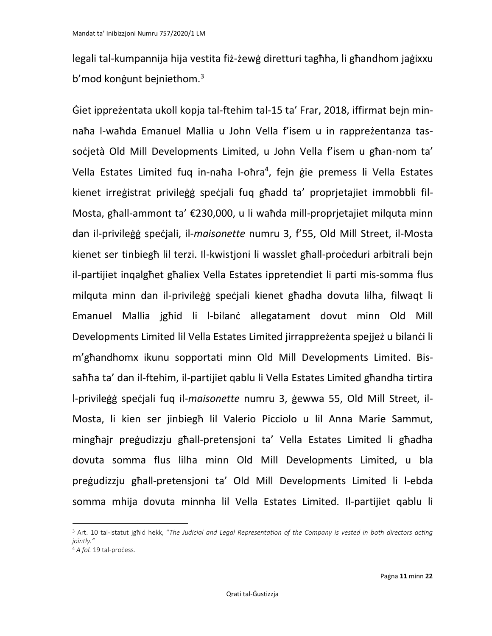legali tal-kumpannija hija vestita fiż-żewġ diretturi tagħha, li għandhom jaġixxu b'mod konġunt bejniethom.<sup>3</sup>

Ġiet ippreżentata ukoll kopja tal-ftehim tal-15 ta' Frar, 2018, iffirmat bejn minnaħa l-waħda Emanuel Mallia u John Vella f'isem u in rappreżentanza tassocjetà Old Mill Developments Limited, u John Vella f'isem u għan-nom ta' Vella Estates Limited fuq in-naħa l-oħra<sup>4</sup>, fejn ġie premess li Vella Estates kienet irreġistrat privileġġ speċjali fuq għadd ta' proprjetajiet immobbli fil-Mosta, għall-ammont ta' €230,000, u li waħda mill-proprjetajiet milquta minn dan il-privileġġ speċjali, il-*maisonette* numru 3, f'55, Old Mill Street, il-Mosta kienet ser tinbiegħ lil terzi. Il-kwistjoni li wasslet għall-proċeduri arbitrali bejn il-partijiet inqalgħet għaliex Vella Estates ippretendiet li parti mis-somma flus milquta minn dan il-privileġġ speċjali kienet għadha dovuta lilha, filwaqt li Emanuel Mallia jgħid li l-bilanċ allegatament dovut minn Old Mill Developments Limited lil Vella Estates Limited jirrappreżenta spejjeż u bilanći li m'għandhomx ikunu sopportati minn Old Mill Developments Limited. Bissaħħa ta' dan il-ftehim, il-partijiet qablu li Vella Estates Limited għandha tirtira l-privileġġ speċjali fuq il-*maisonette* numru 3, ġewwa 55, Old Mill Street, il-Mosta, li kien ser jinbiegħ lil Valerio Picciolo u lil Anna Marie Sammut, mingħajr preġudizzju għall-pretensjoni ta' Vella Estates Limited li għadha dovuta somma flus lilha minn Old Mill Developments Limited, u bla preġudizzju għall-pretensjoni ta' Old Mill Developments Limited li l-ebda somma mhija dovuta minnha lil Vella Estates Limited. Il-partijiet qablu li

<sup>&</sup>lt;sup>3</sup> Art. 10 tal-istatut jgħid hekk, "The Judicial and Legal Representation of the Company is vested in both directors acting *jointly."*

<sup>&</sup>lt;sup>4</sup> A fol. 19 tal-process.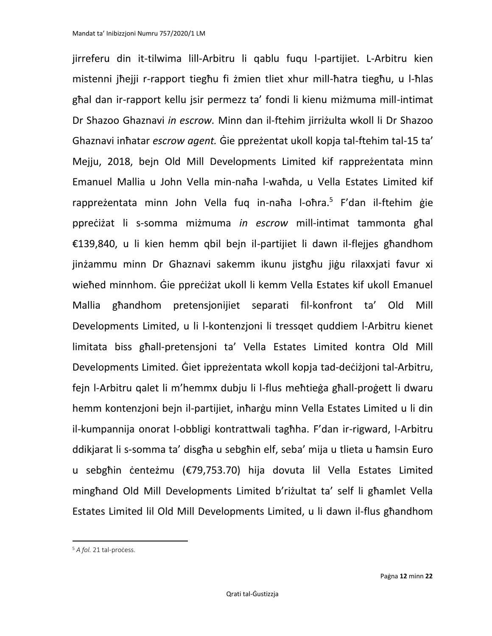jirreferu din it-tilwima lill-Arbitru li qablu fuqu l-partijiet. L-Arbitru kien mistenni jħejji r-rapport tiegħu fi żmien tliet xhur mill-ħatra tiegħu, u l-ħlas għal dan ir-rapport kellu jsir permezz ta' fondi li kienu miżmuma mill-intimat Dr Shazoo Ghaznavi *in escrow.* Minn dan il-ftehim jirriżulta wkoll li Dr Shazoo Ghaznavi inħatar *escrow agent.* Ġie ppreżentat ukoll kopja tal-ftehim tal-15 ta' Mejju, 2018, bejn Old Mill Developments Limited kif rappreżentata minn Emanuel Mallia u John Vella min-naħa l-waħda, u Vella Estates Limited kif rappreżentata minn John Vella fuq in-naħa l-oħra.<sup>5</sup> F'dan il-ftehim gie ppreċiżat li s-somma miżmuma *in escrow* mill-intimat tammonta għal €139,840, u li kien hemm qbil bejn il-partijiet li dawn il-flejjes għandhom jinżammu minn Dr Ghaznavi sakemm ikunu jistgħu jiġu rilaxxjati favur xi wieħed minnhom. Ġie ppreċiżat ukoll li kemm Vella Estates kif ukoll Emanuel Mallia għandhom pretensjonijiet separati fil-konfront ta' Old Mill Developments Limited, u li l-kontenzjoni li tressqet quddiem l-Arbitru kienet limitata biss għall-pretensjoni ta' Vella Estates Limited kontra Old Mill Developments Limited. Ġiet ippreżentata wkoll kopja tad-deċiżjoni tal-Arbitru, fejn l-Arbitru qalet li m'hemmx dubju li l-flus meħtieġa għall-proġett li dwaru hemm kontenzjoni bejn il-partijiet, inħarġu minn Vella Estates Limited u li din il-kumpannija onorat l-obbligi kontrattwali tagħha. F'dan ir-rigward, l-Arbitru ddikjarat li s-somma ta' disgħa u sebgħin elf, seba' mija u tlieta u ħamsin Euro u sebgħin ċenteżmu (€79,753.70) hija dovuta lil Vella Estates Limited mingħand Old Mill Developments Limited b'riżultat ta' self li għamlet Vella Estates Limited lil Old Mill Developments Limited, u li dawn il-flus għandhom

<sup>&</sup>lt;sup>5</sup> *A fol.* 21 tal-process.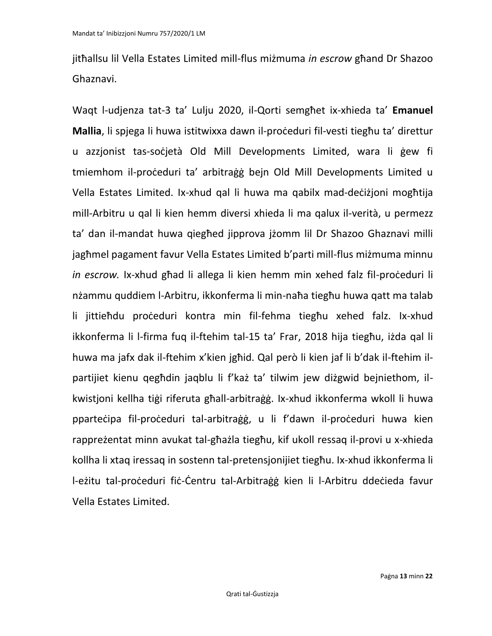jitħallsu lil Vella Estates Limited mill-flus miżmuma *in escrow* għand Dr Shazoo Ghaznavi.

Waqt l-udjenza tat-3 ta' Lulju 2020, il-Qorti semgħet ix-xhieda ta' **Emanuel Mallia**, li spjega li huwa istitwixxa dawn il-proċeduri fil-vesti tiegħu ta' direttur u azzjonist tas-soċjetà Old Mill Developments Limited, wara li ġew fi tmiemhom il-proċeduri ta' arbitraġġ bejn Old Mill Developments Limited u Vella Estates Limited. Ix-xhud qal li huwa ma qabilx mad-deċiżjoni mogħtija mill-Arbitru u qal li kien hemm diversi xhieda li ma qalux il-verità, u permezz ta' dan il-mandat huwa qiegħed jipprova jżomm lil Dr Shazoo Ghaznavi milli jagħmel pagament favur Vella Estates Limited b'parti mill-flus miżmuma minnu *in escrow.* Ix-xhud għad li allega li kien hemm min xehed falz fil-proċeduri li nżammu quddiem l-Arbitru, ikkonferma li min-naħa tiegħu huwa qatt ma talab li jittieħdu proċeduri kontra min fil-fehma tiegħu xehed falz. Ix-xhud ikkonferma li l-firma fuq il-ftehim tal-15 ta' Frar, 2018 hija tiegħu, iżda qal li huwa ma jafx dak il-ftehim x'kien jgħid. Qal però li kien jaf li b'dak il-ftehim ilpartijiet kienu qegħdin jaqblu li f'każ ta' tilwim jew diżgwid bejniethom, ilkwistjoni kellha tiġi riferuta għall-arbitraġġ. Ix-xhud ikkonferma wkoll li huwa pparteċipa fil-proċeduri tal-arbitraġġ, u li f'dawn il-proċeduri huwa kien rappreżentat minn avukat tal-għażla tiegħu, kif ukoll ressaq il-provi u x-xhieda kollha li xtaq iressaq in sostenn tal-pretensjonijiet tiegħu. Ix-xhud ikkonferma li l-eżitu tal-proċeduri fiċ-Ċentru tal-Arbitraġġ kien li l-Arbitru ddeċieda favur Vella Estates Limited.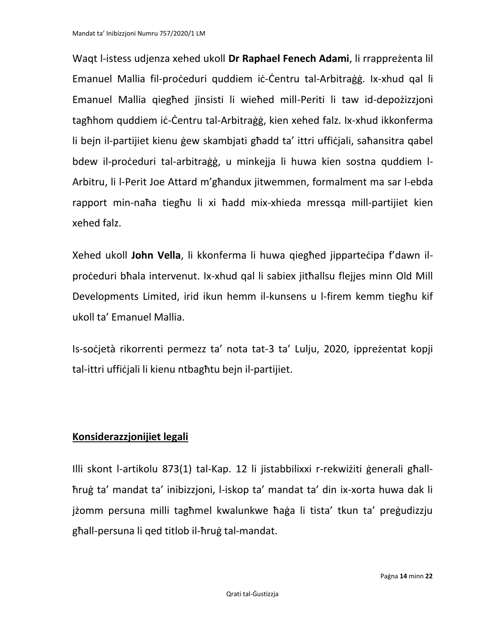Waqt l-istess udjenza xehed ukoll **Dr Raphael Fenech Adami**, li rrappreżenta lil Emanuel Mallia fil-proċeduri quddiem iċ-Ċentru tal-Arbitraġġ. Ix-xhud qal li Emanuel Mallia qiegħed jinsisti li wieħed mill-Periti li taw id-depożizzjoni tagħhom quddiem iċ-Ċentru tal-Arbitraġġ, kien xehed falz. Ix-xhud ikkonferma li bejn il-partijiet kienu ġew skambjati għadd ta' ittri uffiċjali, saħansitra qabel bdew il-proċeduri tal-arbitraġġ, u minkejja li huwa kien sostna quddiem l-Arbitru, li l-Perit Joe Attard m'għandux jitwemmen, formalment ma sar l-ebda rapport min-naħa tiegħu li xi ħadd mix-xhieda mressqa mill-partijiet kien xehed falz.

Xehed ukoll **John Vella**, li kkonferma li huwa qiegħed jipparteċipa f'dawn ilproċeduri bħala intervenut. Ix-xhud qal li sabiex jitħallsu flejjes minn Old Mill Developments Limited, irid ikun hemm il-kunsens u l-firem kemm tiegħu kif ukoll ta' Emanuel Mallia.

Is-soċjetà rikorrenti permezz ta' nota tat-3 ta' Lulju, 2020, ippreżentat kopji tal-ittri uffiċjali li kienu ntbagħtu bejn il-partijiet.

## **Konsiderazzjonijiet legali**

Illi skont l-artikolu 873(1) tal-Kap. 12 li jistabbilixxi r-rekwiżiti ġenerali għallħruġ ta' mandat ta' inibizzjoni, l-iskop ta' mandat ta' din ix-xorta huwa dak li jżomm persuna milli tagħmel kwalunkwe ħaġa li tista' tkun ta' preġudizzju għall-persuna li qed titlob il-ħruġ tal-mandat.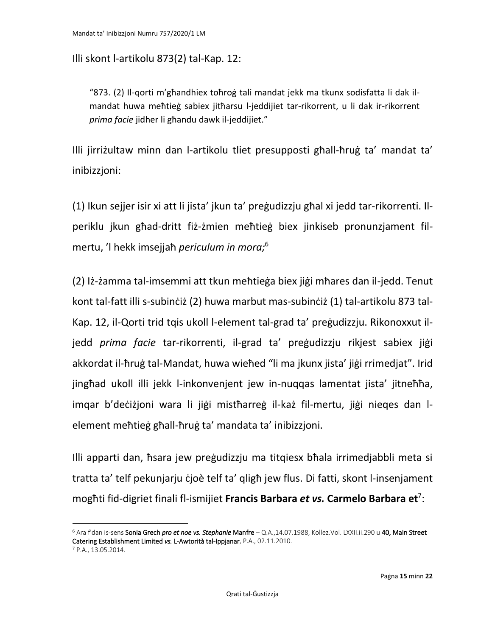Illi skont l-artikolu 873(2) tal-Kap. 12:

"873. (2) Il-qorti m'għandhiex toħroġ tali mandat jekk ma tkunx sodisfatta li dak ilmandat huwa meħtieġ sabiex jitħarsu l-jeddijiet tar-rikorrent, u li dak ir-rikorrent *prima facie* jidher li għandu dawk il-jeddijiet."

Illi jirriżultaw minn dan l-artikolu tliet presupposti għall-ħruġ ta' mandat ta' inibizzjoni:

(1) Ikun sejjer isir xi att li jista' jkun ta' preġudizzju għal xi jedd tar-rikorrenti. Ilperiklu jkun għad-dritt fiż-żmien meħtieġ biex jinkiseb pronunzjament filmertu, 'l hekk imsejjaħ *periculum in mora;* 6

(2) Iż-żamma tal-imsemmi att tkun meħtieġa biex jiġi mħares dan il-jedd. Tenut kont tal-fatt illi s-subinċiż (2) huwa marbut mas-subinċiż (1) tal-artikolu 873 tal-Kap. 12, il-Qorti trid tqis ukoll l-element tal-grad ta' preġudizzju. Rikonoxxut iljedd *prima facie* tar-rikorrenti, il-grad ta' preġudizzju rikjest sabiex jiġi akkordat il-ħruġ tal-Mandat, huwa wieħed "li ma jkunx jista' jiġi rrimedjat". Irid jingħad ukoll illi jekk l-inkonvenjent jew in-nuqqas lamentat jista' jitneħħa, imqar b'deċiżjoni wara li jiġi mistħarreġ il-każ fil-mertu, jiġi nieqes dan lelement meħtieġ għall-ħruġ ta' mandata ta' inibizzjoni.

Illi apparti dan, ħsara jew preġudizzju ma titqiesx bħala irrimedjabbli meta si tratta ta' telf pekunjarju ċjoè telf ta' qligħ jew flus. Di fatti, skont l-insenjament mogħti fid-digriet finali fl-ismijiet **Francis Barbara** *et vs.* **Carmelo Barbara et**<sup>7</sup> :

<sup>6</sup> Ara f'dan is-sens Sonia Grech *pro et noe vs. Stephanie* Manfre – Q.A.,14.07.1988, Kollez.Vol. LXXII.ii.290 u 40, Main Street Catering Establishment Limited *vs.* L-Awtorità tal-Ippjanar, P.A., 02.11.2010.

<sup>7</sup> P.A., 13.05.2014.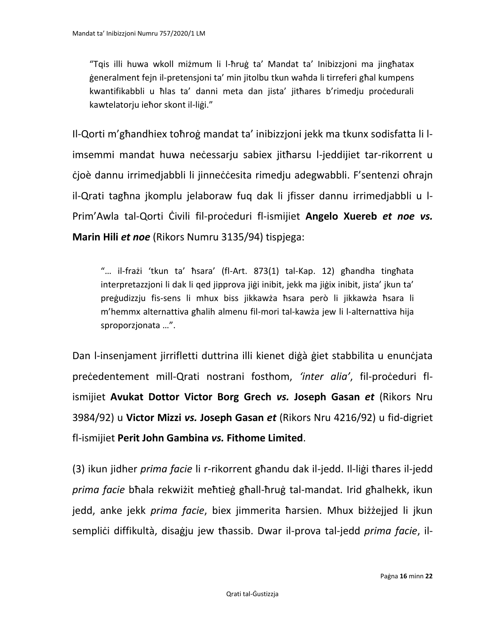"Tqis illi huwa wkoll miżmum li l-ħruġ ta' Mandat ta' Inibizzjoni ma jingħatax ġeneralment fejn il-pretensjoni ta' min jitolbu tkun waħda li tirreferi għal kumpens kwantifikabbli u ħlas ta' danni meta dan jista' jitħares b'rimedju proċedurali kawtelatorju ieħor skont il-liġi."

Il-Qorti m'għandhiex toħroġ mandat ta' inibizzjoni jekk ma tkunx sodisfatta li limsemmi mandat huwa neċessarju sabiex jitħarsu l-jeddijiet tar-rikorrent u ċjoè dannu irrimedjabbli li jinneċċesita rimedju adegwabbli. F'sentenzi oħrajn il-Qrati tagħna jkomplu jelaboraw fuq dak li jfisser dannu irrimedjabbli u l-Prim'Awla tal-Qorti Ċivili fil-proċeduri fl-ismijiet **Angelo Xuereb** *et noe vs.* **Marin Hili** *et noe* (Rikors Numru 3135/94) tispjega:

"… il-frażi 'tkun ta' ħsara' (fl-Art. 873(1) tal-Kap. 12) għandha tingħata interpretazzjoni li dak li qed jipprova jiġi inibit, jekk ma jiġix inibit, jista' jkun ta' preġudizzju fis-sens li mhux biss jikkawża ħsara però li jikkawża ħsara li m'hemmx alternattiva għalih almenu fil-mori tal-kawża jew li l-alternattiva hija sproporzjonata …".

Dan l-insenjament jirrifletti duttrina illi kienet diġà ġiet stabbilita u enunċjata preċedentement mill-Qrati nostrani fosthom, *'inter alia'*, fil-proċeduri flismijiet **Avukat Dottor Victor Borg Grech** *vs.* **Joseph Gasan** *et* (Rikors Nru 3984/92) u **Victor Mizzi** *vs.* **Joseph Gasan** *et* (Rikors Nru 4216/92) u fid-digriet fl-ismijiet **Perit John Gambina** *vs.* **Fithome Limited**.

(3) ikun jidher *prima facie* li r-rikorrent għandu dak il-jedd. Il-liġi tħares il-jedd *prima facie* bħala rekwiżit meħtieġ għall-ħruġ tal-mandat. Irid għalhekk, ikun jedd, anke jekk *prima facie*, biex jimmerita ħarsien. Mhux biżżejjed li jkun sempliċi diffikultà, disaġju jew tħassib. Dwar il-prova tal-jedd *prima facie*, il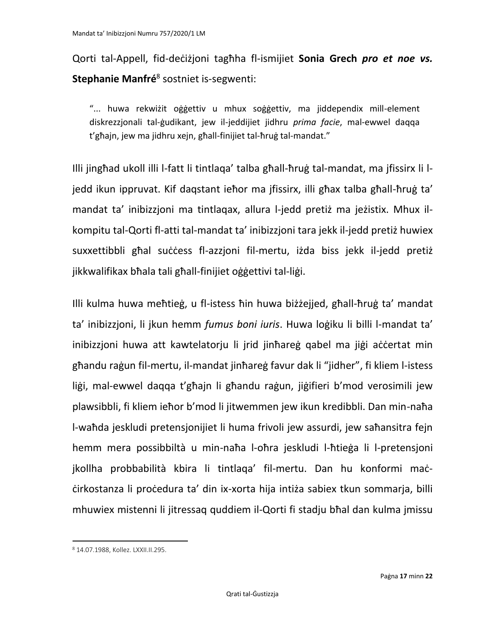Qorti tal-Appell, fid-deċiżjoni tagħha fl-ismijiet **Sonia Grech** *pro et noe vs.*  **Stephanie Manfré**<sup>8</sup> sostniet is-segwenti:

"... huwa rekwiżit oġġettiv u mhux soġġettiv, ma jiddependix mill-element diskrezzjonali tal-ġudikant, jew il-jeddijiet jidhru *prima facie*, mal-ewwel daqqa t'għajn, jew ma jidhru xejn, għall-finijiet tal-ħruġ tal-mandat."

Illi jingħad ukoll illi l-fatt li tintlaqa' talba għall-ħruġ tal-mandat, ma jfissirx li ljedd ikun ippruvat. Kif daqstant ieħor ma jfissirx, illi għax talba għall-ħruġ ta' mandat ta' inibizzjoni ma tintlaqax, allura l-jedd pretiż ma jeżistix. Mhux ilkompitu tal-Qorti fl-atti tal-mandat ta' inibizzjoni tara jekk il-jedd pretiż huwiex suxxettibbli għal suċċess fl-azzjoni fil-mertu, iżda biss jekk il-jedd pretiż jikkwalifikax bħala tali għall-finijiet oġġettivi tal-liġi.

Illi kulma huwa meħtieġ, u fl-istess ħin huwa biżżejjed, għall-ħruġ ta' mandat ta' inibizzjoni, li jkun hemm *fumus boni iuris*. Huwa loġiku li billi l-mandat ta' inibizzjoni huwa att kawtelatorju li jrid jinħareġ qabel ma jiġi aċċertat min għandu raġun fil-mertu, il-mandat jinħareġ favur dak li "jidher", fi kliem l-istess liġi, mal-ewwel daqqa t'għajn li għandu raġun, jiġifieri b'mod verosimili jew plawsibbli, fi kliem ieħor b'mod li jitwemmen jew ikun kredibbli. Dan min-naħa l-waħda jeskludi pretensjonijiet li huma frivoli jew assurdi, jew saħansitra fejn hemm mera possibbiltà u min-naħa l-oħra jeskludi l-ħtieġa li l-pretensjoni jkollha probbabilità kbira li tintlaqa' fil-mertu. Dan hu konformi maċċirkostanza li proċedura ta' din ix-xorta hija intiża sabiex tkun sommarja, billi mhuwiex mistenni li jitressaq quddiem il-Qorti fi stadju bħal dan kulma jmissu

<sup>8</sup> 14.07.1988, Kollez. LXXII.II.295.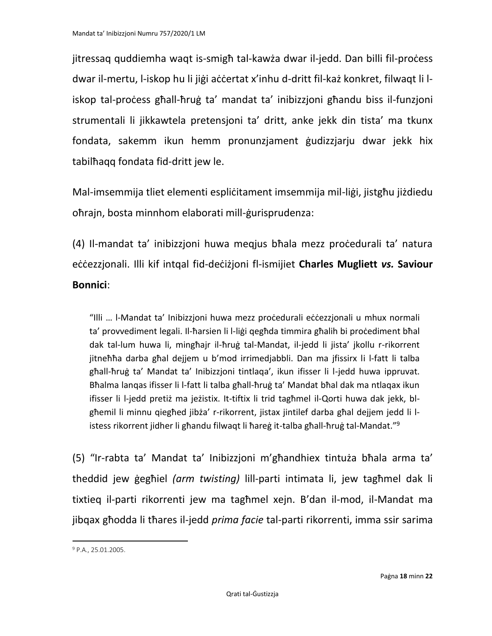jitressaq quddiemha waqt is-smigħ tal-kawża dwar il-jedd. Dan billi fil-proċess dwar il-mertu, l-iskop hu li jiġi aċċertat x'inhu d-dritt fil-każ konkret, filwaqt li liskop tal-proċess għall-ħruġ ta' mandat ta' inibizzjoni għandu biss il-funzjoni strumentali li jikkawtela pretensjoni ta' dritt, anke jekk din tista' ma tkunx fondata, sakemm ikun hemm pronunzjament ġudizzjarju dwar jekk hix tabilħaqq fondata fid-dritt jew le.

Mal-imsemmija tliet elementi espliċitament imsemmija mil-liġi, jistgħu jiżdiedu oħrajn, bosta minnhom elaborati mill-ġurisprudenza:

(4) Il-mandat ta' inibizzjoni huwa meqjus bħala mezz proċedurali ta' natura eċċezzjonali. Illi kif intqal fid-deċiżjoni fl-ismijiet **Charles Mugliett** *vs.* **Saviour Bonnici**:

"Illi … l-Mandat ta' Inibizzjoni huwa mezz proċedurali eċċezzjonali u mhux normali ta' provvediment legali. Il-ħarsien li l-liġi qegħda timmira għalih bi proċediment bħal dak tal-lum huwa li, mingħajr il-ħruġ tal-Mandat, il-jedd li jista' jkollu r-rikorrent jitneħħa darba għal dejjem u b'mod irrimedjabbli. Dan ma jfissirx li l-fatt li talba għall-ħruġ ta' Mandat ta' Inibizzjoni tintlaqa', ikun ifisser li l-jedd huwa ippruvat. Bħalma lanqas ifisser li l-fatt li talba għall-ħruġ ta' Mandat bħal dak ma ntlaqax ikun ifisser li l-jedd pretiż ma jeżistix. It-tiftix li trid tagħmel il-Qorti huwa dak jekk, blgħemil li minnu qiegħed jibża' r-rikorrent, jistax jintilef darba għal dejjem jedd li listess rikorrent jidher li għandu filwaqt li ħareġ it-talba għall-ħruġ tal-Mandat."<sup>9</sup>

(5) "Ir-rabta ta' Mandat ta' Inibizzjoni m'għandhiex tintuża bħala arma ta' theddid jew ġegħiel *(arm twisting)* lill-parti intimata li, jew tagħmel dak li tixtieq il-parti rikorrenti jew ma tagħmel xejn. B'dan il-mod, il-Mandat ma jibqax għodda li tħares il-jedd *prima facie* tal-parti rikorrenti, imma ssir sarima

<sup>9</sup> P.A., 25.01.2005.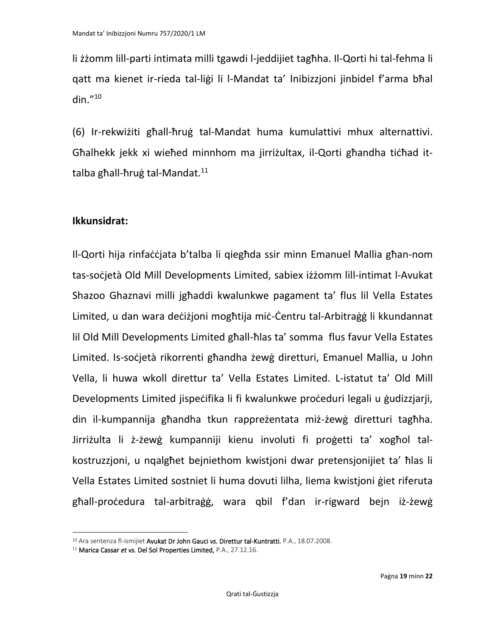li żżomm lill-parti intimata milli tgawdi l-jeddijiet tagħha. Il-Qorti hi tal-fehma li qatt ma kienet ir-rieda tal-liġi li l-Mandat ta' Inibizzjoni jinbidel f'arma bħal din $.^{\prime\prime}$ <sup>10</sup>

(6) Ir-rekwiżiti għall-ħruġ tal-Mandat huma kumulattivi mhux alternattivi. Għalhekk jekk xi wieħed minnhom ma jirriżultax, il-Qorti għandha tiċħad ittalba għall-ħruġ tal-Mandat.<sup>11</sup>

#### **Ikkunsidrat:**

Il-Qorti hija rinfaċċjata b'talba li qiegħda ssir minn Emanuel Mallia għan-nom tas-soċjetà Old Mill Developments Limited, sabiex iżżomm lill-intimat l-Avukat Shazoo Ghaznavi milli jgħaddi kwalunkwe pagament ta' flus lil Vella Estates Limited, u dan wara deċiżjoni mogħtija miċ-Ċentru tal-Arbitraġġ li kkundannat lil Old Mill Developments Limited għall-ħlas ta' somma flus favur Vella Estates Limited. Is-soċjetà rikorrenti għandha żewġ diretturi, Emanuel Mallia, u John Vella, li huwa wkoll direttur ta' Vella Estates Limited. L-istatut ta' Old Mill Developments Limited jispeċifika li fi kwalunkwe proċeduri legali u ġudizzjarji, din il-kumpannija għandha tkun rappreżentata miż-żewġ diretturi tagħha. Jirriżulta li ż-żewġ kumpanniji kienu involuti fi proġetti ta' xogħol talkostruzzjoni, u nqalgħet bejniethom kwistjoni dwar pretensjonijiet ta' ħlas li Vella Estates Limited sostniet li huma dovuti lilha, liema kwistjoni ġiet riferuta għall-proċedura tal-arbitraġġ, wara qbil f'dan ir-rigward bejn iż-żewġ

<sup>10</sup> Ara sentenza fl-ismijiet Avukat Dr John Gauci *vs.* Direttur tal-Kuntratti, P.A., 18.07.2008.

<sup>11</sup> Marica Cassar *et vs.* Del Sol Properties Limited, P.A., 27.12.16.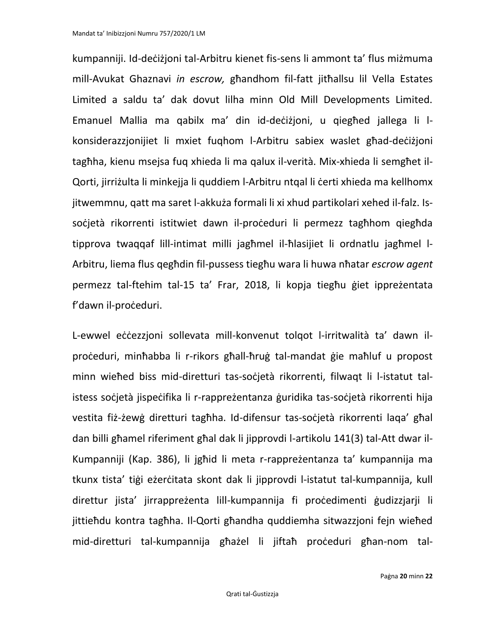kumpanniji. Id-deċiżjoni tal-Arbitru kienet fis-sens li ammont ta' flus miżmuma mill-Avukat Ghaznavi *in escrow,* għandhom fil-fatt jitħallsu lil Vella Estates Limited a saldu ta' dak dovut lilha minn Old Mill Developments Limited. Emanuel Mallia ma qabilx ma' din id-deċiżjoni, u qiegħed jallega li lkonsiderazzjonijiet li mxiet fuqhom l-Arbitru sabiex waslet għad-deċiżjoni tagħha, kienu msejsa fuq xhieda li ma qalux il-verità. Mix-xhieda li semgħet il-Qorti, jirriżulta li minkejja li quddiem l-Arbitru ntqal li ċerti xhieda ma kellhomx jitwemmnu, qatt ma saret l-akkuża formali li xi xhud partikolari xehed il-falz. Issoċjetà rikorrenti istitwiet dawn il-proċeduri li permezz tagħhom qiegħda tipprova twaqqaf lill-intimat milli jagħmel il-ħlasijiet li ordnatlu jagħmel l-Arbitru, liema flus qegħdin fil-pussess tiegħu wara li huwa nħatar *escrow agent*  permezz tal-ftehim tal-15 ta' Frar, 2018, li kopja tiegħu ġiet ippreżentata f'dawn il-proċeduri.

L-ewwel eċċezzjoni sollevata mill-konvenut tolqot l-irritwalità ta' dawn ilproċeduri, minħabba li r-rikors għall-ħruġ tal-mandat ġie maħluf u propost minn wieħed biss mid-diretturi tas-soċjetà rikorrenti, filwaqt li l-istatut talistess soċjetà jispeċifika li r-rappreżentanza ġuridika tas-soċjetà rikorrenti hija vestita fiż-żewġ diretturi tagħha. Id-difensur tas-soċjetà rikorrenti laqa' għal dan billi għamel riferiment għal dak li jipprovdi l-artikolu 141(3) tal-Att dwar il-Kumpanniji (Kap. 386), li jgħid li meta r-rappreżentanza ta' kumpannija ma tkunx tista' tiġi eżerċitata skont dak li jipprovdi l-istatut tal-kumpannija, kull direttur jista' jirrappreżenta lill-kumpannija fi proċedimenti ġudizzjarji li jittieħdu kontra tagħha. Il-Qorti għandha quddiemha sitwazzjoni fejn wieħed mid-diretturi tal-kumpannija għażel li jiftaħ proċeduri għan-nom tal-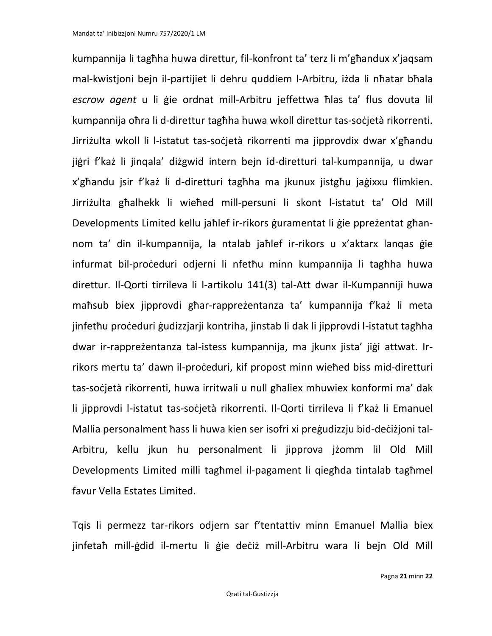kumpannija li tagħha huwa direttur, fil-konfront ta' terz li m'għandux x'jaqsam mal-kwistjoni bejn il-partijiet li dehru quddiem l-Arbitru, iżda li nħatar bħala *escrow agent* u li ġie ordnat mill-Arbitru jeffettwa ħlas ta' flus dovuta lil kumpannija oħra li d-direttur tagħha huwa wkoll direttur tas-soċjetà rikorrenti. Jirriżulta wkoll li l-istatut tas-soċjetà rikorrenti ma jipprovdix dwar x'għandu jiġri f'każ li jinqala' diżgwid intern bejn id-diretturi tal-kumpannija, u dwar x'għandu jsir f'każ li d-diretturi tagħha ma jkunux jistgħu jaġixxu flimkien. Jirriżulta għalhekk li wieħed mill-persuni li skont l-istatut ta' Old Mill Developments Limited kellu jaħlef ir-rikors ġuramentat li ġie ppreżentat għannom ta' din il-kumpannija, la ntalab jaħlef ir-rikors u x'aktarx lanqas ġie infurmat bil-proċeduri odjerni li nfetħu minn kumpannija li tagħha huwa direttur. Il-Qorti tirrileva li l-artikolu 141(3) tal-Att dwar il-Kumpanniji huwa maħsub biex jipprovdi għar-rappreżentanza ta' kumpannija f'każ li meta jinfethu proċeduri gudizzjarji kontriha, jinstab li dak li jipprovdi l-istatut tagħha dwar ir-rappreżentanza tal-istess kumpannija, ma jkunx jista' jiġi attwat. Irrikors mertu ta' dawn il-proċeduri, kif propost minn wieħed biss mid-diretturi tas-soċjetà rikorrenti, huwa irritwali u null għaliex mhuwiex konformi ma' dak li jipprovdi l-istatut tas-soċjetà rikorrenti. Il-Qorti tirrileva li f'każ li Emanuel Mallia personalment ħass li huwa kien ser isofri xi preġudizzju bid-deċiżjoni tal-Arbitru, kellu jkun hu personalment li jipprova jżomm lil Old Mill Developments Limited milli tagħmel il-pagament li qiegħda tintalab tagħmel favur Vella Estates Limited.

Tqis li permezz tar-rikors odjern sar f'tentattiv minn Emanuel Mallia biex jinfetaħ mill-ġdid il-mertu li ġie deċiż mill-Arbitru wara li bejn Old Mill